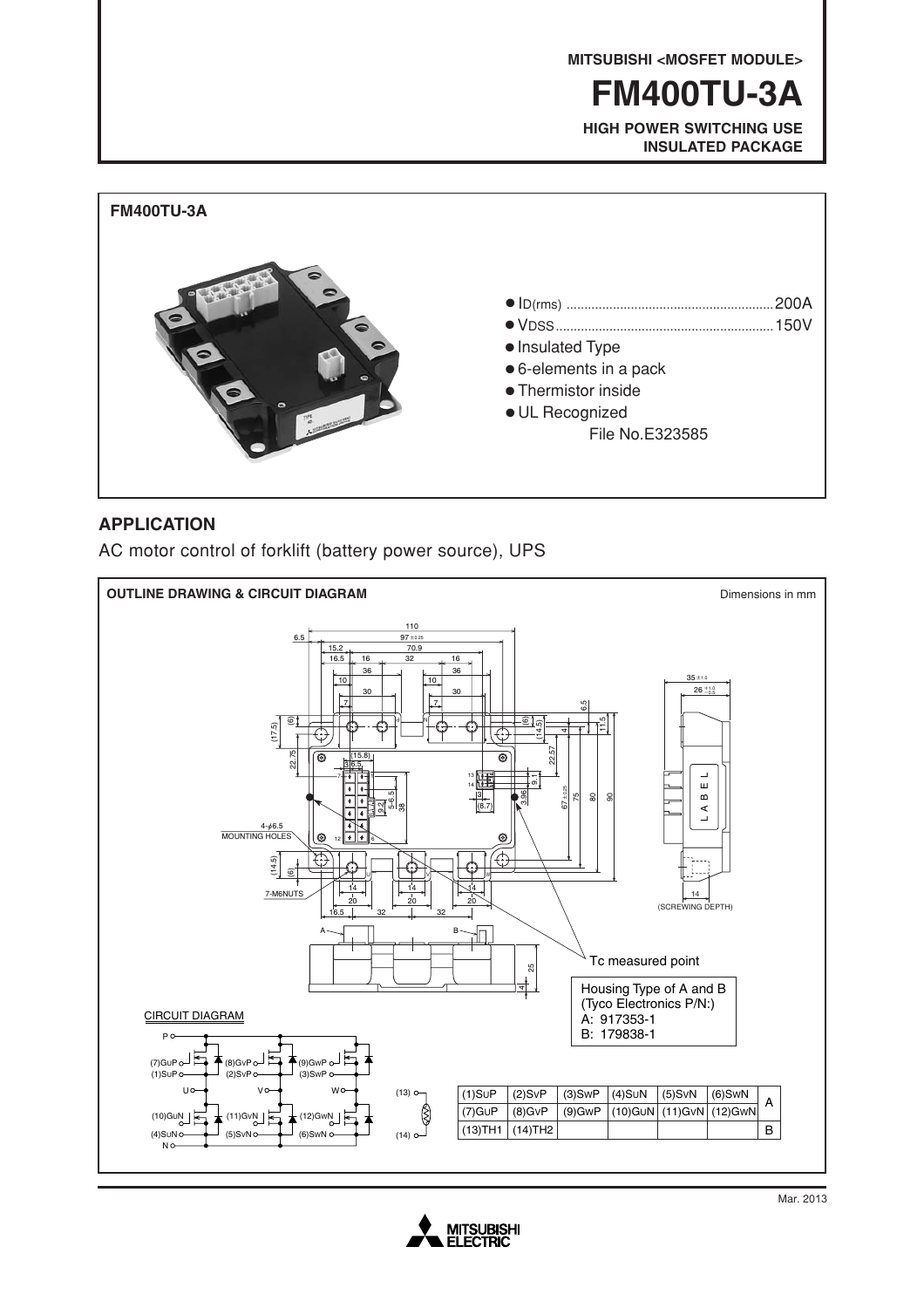**MITSUBISHI <MOSFET MODULE>**

**FM400TU-3A**

**HIGH POWER SWITCHING USE INSULATED PACKAGE**



### **APPLICATION**

AC motor control of forklift (battery power source), UPS



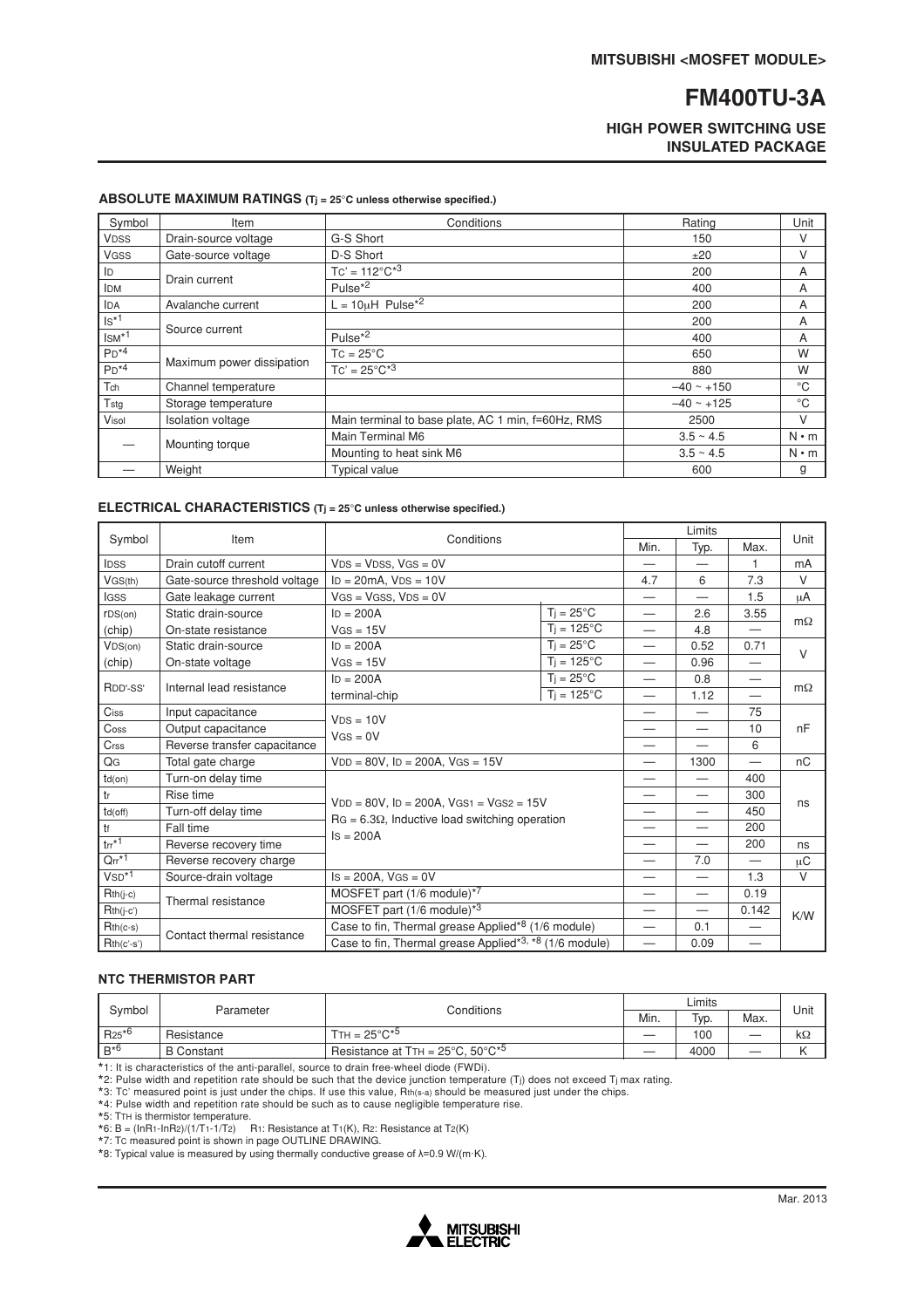### **HIGH POWER SWITCHING USE INSULATED PACKAGE**

| ABSOLUTE MAXIMUM RATINGS $(Tj = 25^{\circ}C)$ unless otherwise specified.) |  |  |
|----------------------------------------------------------------------------|--|--|
|                                                                            |  |  |

| Symbol      | Item                      | Conditions                                         | Rating         | Unit         |
|-------------|---------------------------|----------------------------------------------------|----------------|--------------|
| <b>VDSS</b> | Drain-source voltage      | G-S Short                                          | 150            | V            |
| <b>VGSS</b> | Gate-source voltage       | D-S Short                                          | ±20            | V            |
| ID          | Drain current             | $TC' = 112^{\circ}C^{*3}$                          | 200            | A            |
| <b>IDM</b>  |                           | Pulse <sup>*2</sup>                                | 400            | A            |
| <b>IDA</b>  | Avalanche current         | $L = 10\mu H$ Pulse <sup>*2</sup>                  | 200            | A            |
| $Is*1$      | Source current            |                                                    | 200            | A            |
| $IsM*1$     |                           | Pulse <sup><math>\overline{2}</math></sup>         | 400            | A            |
| $PD*4$      | Maximum power dissipation | $TC = 25^{\circ}C$                                 | 650            | W            |
| $PD^{*4}$   |                           | $TC' = 25^{\circ}C^{*3}$                           | 880            | W            |
| Tch         | Channel temperature       |                                                    | $-40 - 150$    | $^{\circ}C$  |
| Tstg        | Storage temperature       |                                                    | $-40$ ~ +125   | $^{\circ}$ C |
| Visol       | <b>Isolation voltage</b>  | Main terminal to base plate, AC 1 min, f=60Hz, RMS | 2500           | V            |
|             | Mounting torque           | Main Terminal M6                                   | $3.5 \sim 4.5$ | $N \cdot m$  |
|             |                           | Mounting to heat sink M6                           | $3.5 \sim 4.5$ | $N \cdot m$  |
|             | Weight                    | <b>Typical value</b>                               | 600            | g            |

### **ELECTRICAL CHARACTERISTICS (T<sup>j</sup> = 25**°**C unless otherwise specified.)**

|                                      |                                                                                      |                                                                                                                                | Limits                   |                          |                          | Unit                     |           |
|--------------------------------------|--------------------------------------------------------------------------------------|--------------------------------------------------------------------------------------------------------------------------------|--------------------------|--------------------------|--------------------------|--------------------------|-----------|
| Symbol<br>Item                       |                                                                                      | Conditions                                                                                                                     |                          | Min.                     | Typ.                     | Max.                     |           |
| <b>IDSS</b>                          | Drain cutoff current                                                                 | $VDS = VDSS$ , $VGS = 0V$                                                                                                      |                          |                          |                          | $\overline{1}$           | mA        |
| VGS(th)                              | Gate-source threshold voltage                                                        | $ID = 20mA$ , $VDS = 10V$                                                                                                      |                          | 4.7                      | 6                        | 7.3                      | $\vee$    |
| <b>IGSS</b>                          | Gate leakage current                                                                 | $VGS = VGSS$ , $VDS = 0V$                                                                                                      |                          |                          | $\overline{\phantom{0}}$ | 1.5                      | μA        |
| rDS(on)                              | Static drain-source                                                                  | $Ti = 25^{\circ}C$<br>$ID = 200A$                                                                                              |                          | $\overline{\phantom{0}}$ | 2.6                      | 3.55                     |           |
| (chip)                               | On-state resistance                                                                  | $VGS = 15V$                                                                                                                    | $Ti = 125^{\circ}C$      |                          | 4.8                      |                          | $m\Omega$ |
| VDS(0n)                              | Static drain-source                                                                  | $ID = 200A$                                                                                                                    | $Ti = 25^{\circ}C$       | $\overline{\phantom{0}}$ | 0.52                     | 0.71                     | $\vee$    |
| (chip)                               | On-state voltage                                                                     | $VGS = 15V$                                                                                                                    | $Ti = 125^{\circ}C$      |                          | 0.96                     | $\overline{\phantom{0}}$ |           |
| RDD'-SS'<br>Internal lead resistance | $ID = 200A$                                                                          | $T_i = 25^{\circ}C$                                                                                                            |                          | 0.8                      | $\overline{\phantom{0}}$ |                          |           |
|                                      | terminal-chip                                                                        | $T_i = 125^{\circ}C$                                                                                                           |                          | 1.12                     |                          | $m\Omega$                |           |
| $C$ iss                              | Input capacitance                                                                    | $VDS = 10V$<br>$VGS = 0V$                                                                                                      |                          |                          |                          | 75                       |           |
| Coss                                 | Output capacitance                                                                   |                                                                                                                                |                          |                          |                          | 10                       | nF        |
| Crss                                 | Reverse transfer capacitance                                                         |                                                                                                                                |                          |                          |                          | 6                        |           |
| QG                                   | Total gate charge                                                                    | $VDD = 80V$ , $ID = 200A$ , $VGS = 15V$                                                                                        |                          | $\overline{\phantom{0}}$ | 1300                     |                          | nC        |
| $td($ on $)$                         | Turn-on delay time                                                                   | $VDD = 80V$ , $ID = 200A$ , $VGS1 = VGS2 = 15V$<br>$\text{RG} = 6.3\Omega$ , Inductive load switching operation<br>$Is = 200A$ |                          | $\overline{\phantom{0}}$ | $\overline{\phantom{0}}$ | 400                      |           |
| tr                                   | Rise time                                                                            |                                                                                                                                |                          | $\overline{\phantom{0}}$ |                          | 300                      | ns        |
| $td($ off $)$                        | Turn-off delay time                                                                  |                                                                                                                                |                          |                          |                          | 450                      |           |
| $t$ f                                | Fall time                                                                            |                                                                                                                                |                          |                          |                          | 200                      |           |
| $\text{tr}^{\star 1}$                | Reverse recovery time                                                                |                                                                                                                                |                          |                          |                          | 200                      | ns        |
| $Qrr^{*1}$                           | Reverse recovery charge                                                              |                                                                                                                                |                          |                          | 7.0                      | $\overline{\phantom{0}}$ | μC        |
| $VSD*1$                              | Source-drain voltage                                                                 | $Is = 200A$ , $VGS = 0V$                                                                                                       |                          |                          |                          | 1.3                      | $\vee$    |
| $Rth(j-c)$                           | MOSFET part $(1/6 \text{ module})^{*7}$<br>Thermal resistance                        |                                                                                                                                | $\overline{\phantom{0}}$ | $\overline{\phantom{m}}$ | 0.19                     |                          |           |
| $Rth(j-c')$                          |                                                                                      | MOSFET part $(1/6 \text{ module})^{*3}$                                                                                        |                          | $\overline{\phantom{0}}$ |                          | 0.142                    | K/W       |
| $Rth(c-s)$                           |                                                                                      | Case to fin, Thermal grease Applied <sup>*8</sup> (1/6 module)                                                                 |                          | $\overline{\phantom{0}}$ | 0.1                      | $\overline{\phantom{0}}$ |           |
| $Rth(c'-s')$                         | Contact thermal resistance<br>Case to fin, Thermal grease Applied*3, *8 (1/6 module) |                                                                                                                                |                          | $\overline{\phantom{0}}$ | 0.09                     | $\overline{\phantom{0}}$ |           |

### **NTC THERMISTOR PART**

| Parameter<br>Symbol |                   | Conditions                                                                  | Limits            |      |  | Unit      |
|---------------------|-------------------|-----------------------------------------------------------------------------|-------------------|------|--|-----------|
|                     |                   | Min.                                                                        | T <sub>VD</sub> . | Max. |  |           |
| $R25*6$             | Resistance        | $TTH = 25^{\circ}C^{*5}$                                                    |                   | 100  |  | $k\Omega$ |
| $B^{*6}$            | <b>B</b> Constant | Resistance at T <sub>H</sub> = $25^{\circ}$ C, $50^{\circ}$ C <sup>*5</sup> |                   | 4000 |  |           |

\*1: It is characteristics of the anti-parallel, source to drain free-wheel diode (FWDi).<br>\*2: Pulse width and repetition rate should be such that the device junction temperature (Tj) does not exceed Tj max rating.<br>\*3: Tc' m

\*5: TTH is thermistor temperature.<br>\*6: B = (InR1-InR2)/(1/T1-1/T2) R1: Resistance at T1(K), R2: Resistance at T2(K)<br>\*7: Tc measured point is shown in page OUTLINE DRAWING.<br>\*8: Typical value is measured by using thermal

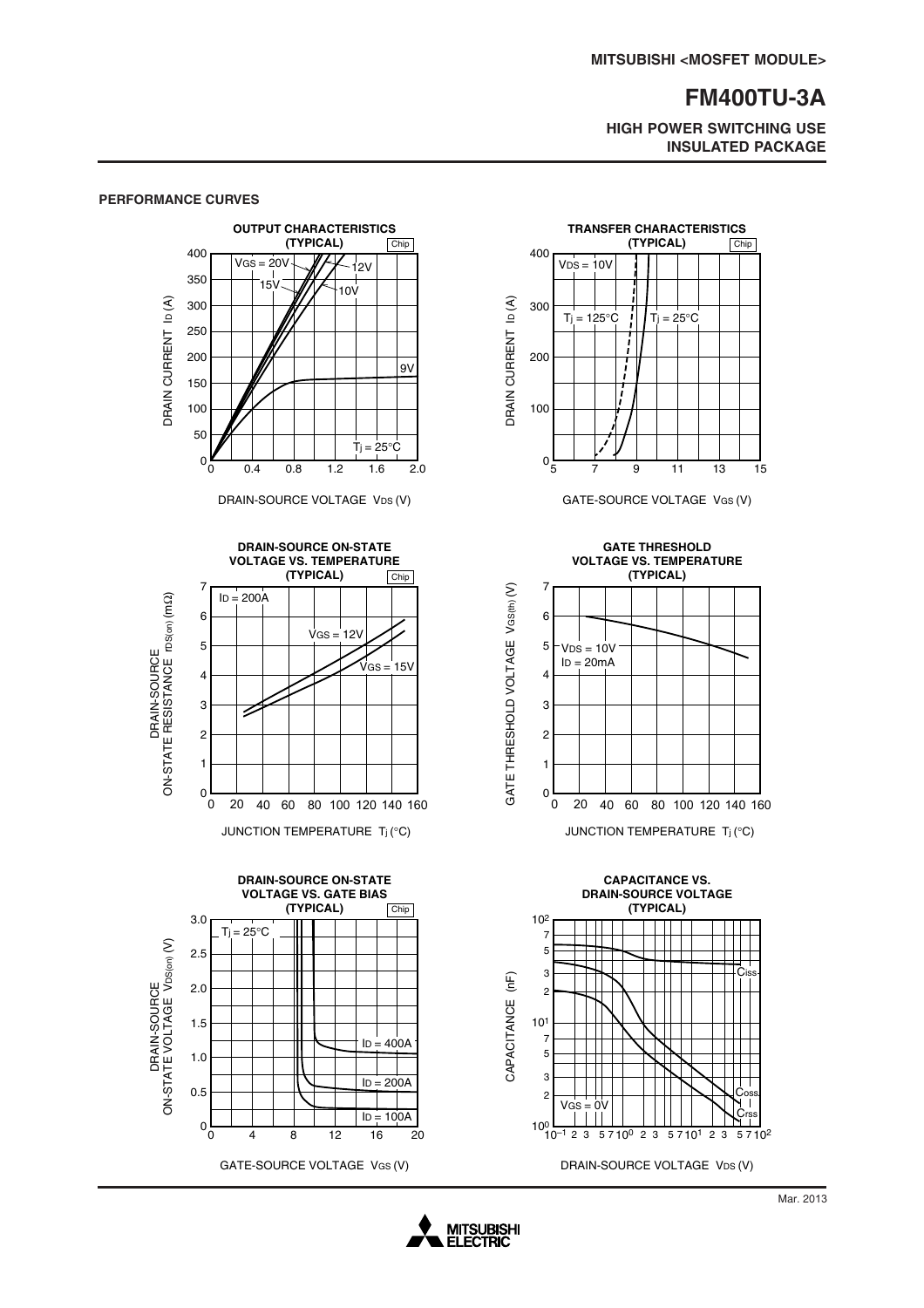**HIGH POWER SWITCHING USE INSULATED PACKAGE**

#### **OUTPUT CHARACTERISTICS (TYPICAL)** Chip 400  $VGS = 20V$  $12v$ 350  $15$  $10V$  $\overline{D}(\overline{A})$ DRAIN CURRENT ID (A) 300 **DRAIN CURRENT** 250 200  $9V$ 150 100 50  $T_i = 25^\circ C$  $0<sub>0</sub>$ 0 0.4 0.8 1.2 1.6 2.0

**PERFORMANCE CURVES**

DRAIN-SOURCE VOLTAGE VDS (V)







GATE-SOURCE VOLTAGE VGS (V)



#### **CAPACITANCE VS. DRAIN-SOURCE VOLTAGE (TYPICAL)** 102 7 5 3 Ciss  $(\sf nF)$ CAPACITANCE (nF) 2 CAPACITANCE 101 7 5 3 2 Coss  $VGS = 0V ||$   $|| || ||$   $\bigcup_{\text{Crss}}$  $10<sup>0</sup>$   $10<sup>-1</sup>$   $2<sup>3</sup>$   $5<sup>7</sup>10<sup>0</sup>$   $2<sup>3</sup>$   $5<sup>7</sup>10<sup>1</sup>$   $2<sup>3</sup>$   $5<sup>7</sup>10<sup>2</sup>$ DRAIN-SOURCE VOLTAGE VDS (V)

### **MITSUBISHI ELECTRIC**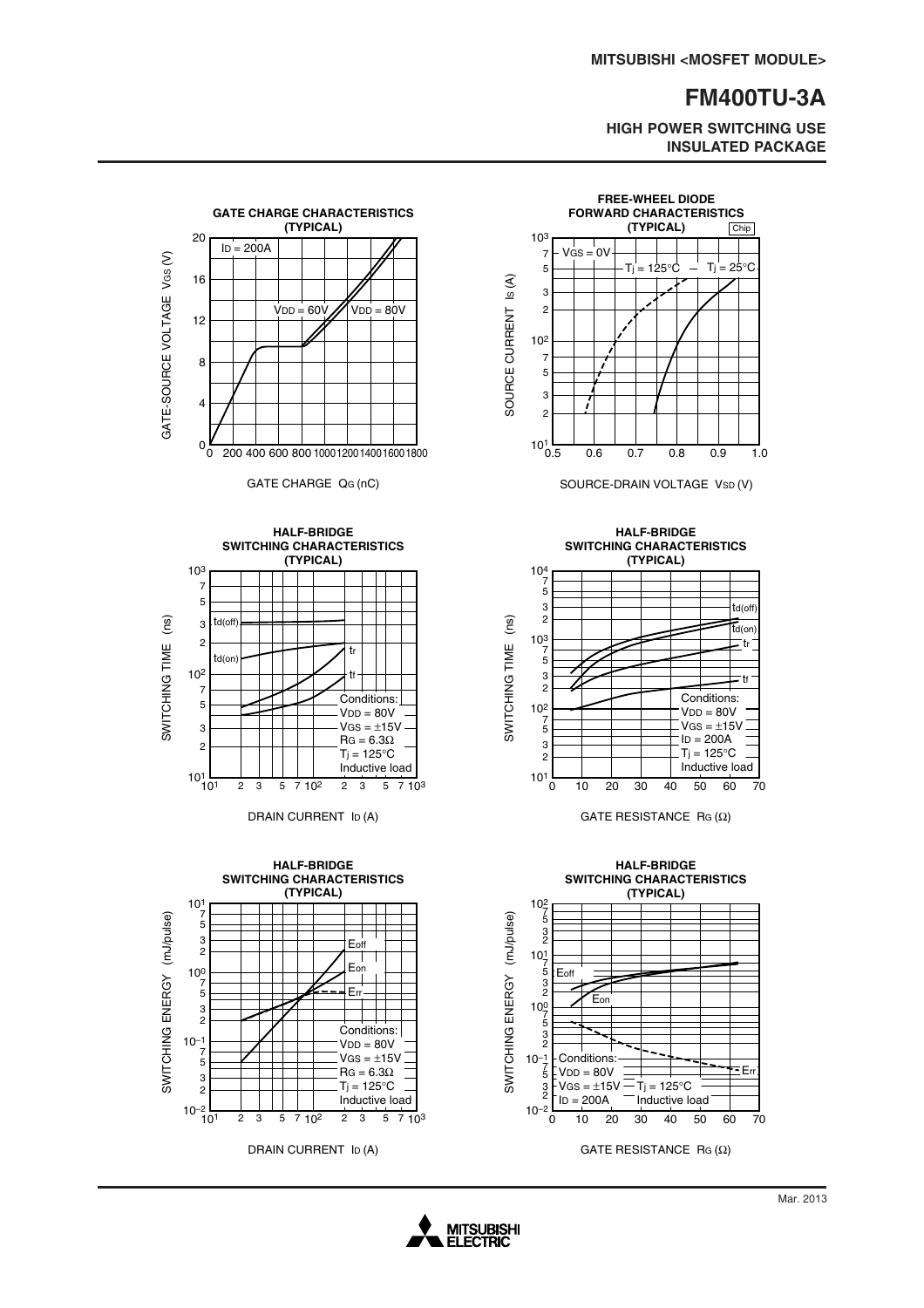**HIGH POWER SWITCHING USE INSULATED PACKAGE**



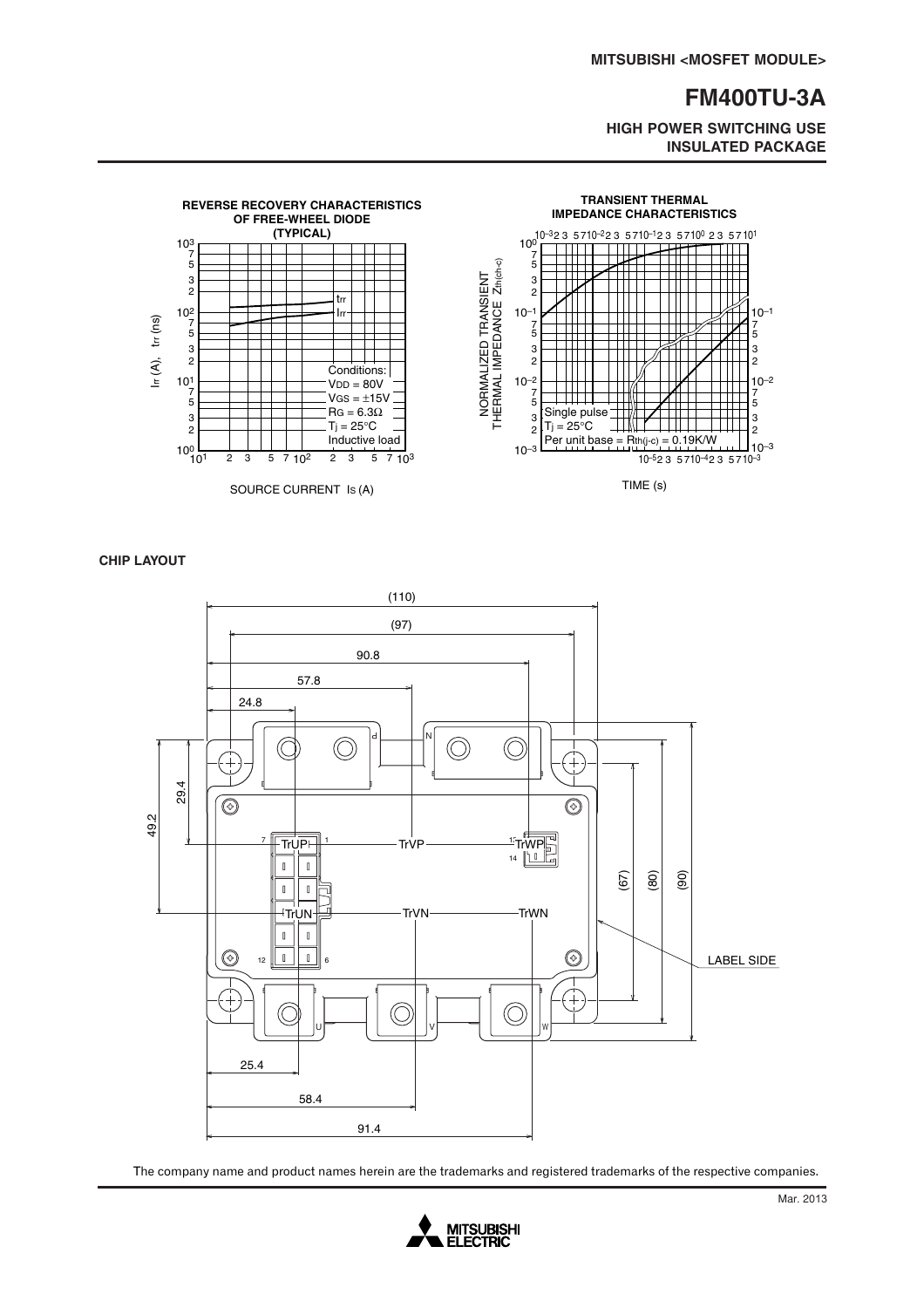**HIGH POWER SWITCHING USE INSULATED PACKAGE**



**CHIP LAYOUT**



The company name and product names herein are the trademarks and registered trademarks of the respective companies.